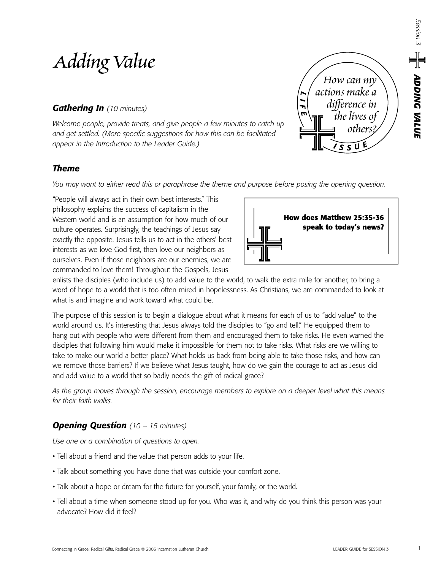# *Adding Value*

# *Gathering In (10 minutes)*

*Welcome people, provide treats, and give people a few minutes to catch up and get settled. (More specific suggestions for how this can be facilitated appear in the Introduction to the Leader Guide.)*

# *Theme*

*You may want to either read this or paraphrase the theme and purpose before posing the opening question.*

"People will always act in their own best interests." This philosophy explains the success of capitalism in the Western world and is an assumption for how much of our culture operates. Surprisingly, the teachings of Jesus say exactly the opposite. Jesus tells us to act in the others' best interests as we love God first, then love our neighbors as ourselves. Even if those neighbors are our enemies, we are commanded to love them! Throughout the Gospels, Jesus

enlists the disciples (who include us) to add value to the world, to walk the extra mile for another, to bring a word of hope to a world that is too often mired in hopelessness. As Christians, we are commanded to look at what is and imagine and work toward what could be.

The purpose of this session is to begin a dialogue about what it means for each of us to "add value" to the world around us. It's interesting that Jesus always told the disciples to "go and tell." He equipped them to hang out with people who were different from them and encouraged them to take risks. He even warned the disciples that following him would make it impossible for them not to take risks. What risks are we willing to take to make our world a better place? What holds us back from being able to take those risks, and how can we remove those barriers? If we believe what Jesus taught, how do we gain the courage to act as Jesus did and add value to a world that so badly needs the gift of radical grace?

*As the group moves through the session, encourage members to explore on a deeper level what this means for their faith walks.*

# *Opening Question (10 – 15 minutes)*

*Use one or a combination of questions to open.*

- Tell about a friend and the value that person adds to your life.
- Talk about something you have done that was outside your comfort zone.
- Talk about a hope or dream for the future for yourself, your family, or the world.
- Tell about a time when someone stood up for you. Who was it, and why do you think this person was your advocate? How did it feel?



*<sup>I</sup> <sup>S</sup> <sup>S</sup> <sup>U</sup> E*

*How can my actions make a difference in the lives of others?*

*L I F E*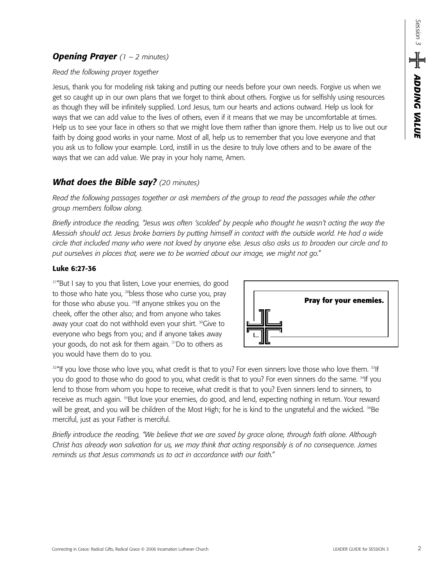### *Opening Prayer (1 – 2 minutes)*

#### *Read the following prayer together*

Jesus, thank you for modeling risk taking and putting our needs before your own needs. Forgive us when we get so caught up in our own plans that we forget to think about others. Forgive us for selfishly using resources as though they will be infinitely supplied. Lord Jesus, turn our hearts and actions outward. Help us look for ways that we can add value to the lives of others, even if it means that we may be uncomfortable at times. Help us to see your face in others so that we might love them rather than ignore them. Help us to live out our faith by doing good works in your name. Most of all, help us to remember that you love everyone and that you ask us to follow your example. Lord, instill in us the desire to truly love others and to be aware of the ways that we can add value. We pray in your holy name, Amen.

## *What does the Bible say? (20 minutes)*

*Read the following passages together or ask members of the group to read the passages while the other group members follow along.* 

*Briefly introduce the reading, "Jesus was often 'scolded' by people who thought he wasn't acting the way the Messiah should act. Jesus broke barriers by putting himself in contact with the outside world. He had a wide circle that included many who were not loved by anyone else. Jesus also asks us to broaden our circle and to put ourselves in places that, were we to be worried about our image, we might not go."*

#### **Luke 6:27-36**

 $27^{\prime\prime}$ But I say to you that listen, Love your enemies, do good to those who hate you, <sup>28</sup>bless those who curse you, pray for those who abuse you. <sup>29</sup>If anyone strikes you on the cheek, offer the other also; and from anyone who takes away your coat do not withhold even your shirt. <sup>30</sup>Give to everyone who begs from you; and if anyone takes away your goods, do not ask for them again. 31Do to others as you would have them do to you.



<sup>32</sup>"If you love those who love you, what credit is that to you? For even sinners love those who love them. <sup>33</sup>If you do good to those who do good to you, what credit is that to you? For even sinners do the same. <sup>34</sup>If you lend to those from whom you hope to receive, what credit is that to you? Even sinners lend to sinners, to receive as much again. <sup>35</sup>But love your enemies, do good, and lend, expecting nothing in return. Your reward will be great, and you will be children of the Most High; for he is kind to the ungrateful and the wicked. <sup>36</sup>Be merciful, just as your Father is merciful.

*Briefly introduce the reading, "We believe that we are saved by grace alone, through faith alone. Although Christ has already won salvation for us, we may think that acting responsibly is of no consequence. James reminds us that Jesus commands us to act in accordance with our faith."*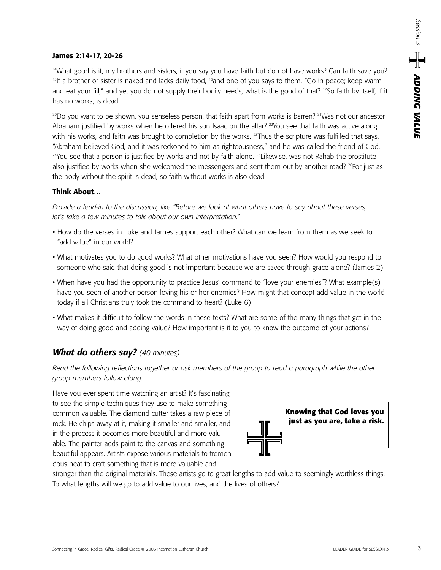#### **James 2:14-17, 20-26**

<sup>14</sup>What good is it, my brothers and sisters, if you say you have faith but do not have works? Can faith save you? <sup>15</sup>If a brother or sister is naked and lacks daily food, <sup>16</sup>and one of you says to them, "Go in peace; keep warm and eat your fill," and yet you do not supply their bodily needs, what is the good of that? <sup>17</sup>So faith by itself, if it has no works, is dead.

 $^{20}$ Do you want to be shown, you senseless person, that faith apart from works is barren? <sup>21</sup>Was not our ancestor Abraham justified by works when he offered his son Isaac on the altar? <sup>22</sup>You see that faith was active along with his works, and faith was brought to completion by the works. <sup>23</sup>Thus the scripture was fulfilled that says, "Abraham believed God, and it was reckoned to him as righteousness," and he was called the friend of God. <sup>24</sup>You see that a person is justified by works and not by faith alone. <sup>25</sup>Likewise, was not Rahab the prostitute also justified by works when she welcomed the messengers and sent them out by another road? <sup>26</sup>For just as the body without the spirit is dead, so faith without works is also dead.

#### **Think About…**

*Provide a lead-in to the discussion, like "Before we look at what others have to say about these verses, let's take a few minutes to talk about our own interpretation."* 

- How do the verses in Luke and James support each other? What can we learn from them as we seek to "add value" in our world?
- What motivates you to do good works? What other motivations have you seen? How would you respond to someone who said that doing good is not important because we are saved through grace alone? (James 2)
- When have you had the opportunity to practice Jesus' command to "love your enemies"? What example(s) have you seen of another person loving his or her enemies? How might that concept add value in the world today if all Christians truly took the command to heart? (Luke 6)
- What makes it difficult to follow the words in these texts? What are some of the many things that get in the way of doing good and adding value? How important is it to you to know the outcome of your actions?

## *What do others say? (40 minutes)*

*Read the following reflections together or ask members of the group to read a paragraph while the other group members follow along.*

Have you ever spent time watching an artist? It's fascinating to see the simple techniques they use to make something common valuable. The diamond cutter takes a raw piece of rock. He chips away at it, making it smaller and smaller, and in the process it becomes more beautiful and more valuable. The painter adds paint to the canvas and something beautiful appears. Artists expose various materials to tremendous heat to craft something that is more valuable and



stronger than the original materials. These artists go to great lengths to add value to seemingly worthless things. To what lengths will we go to add value to our lives, and the lives of others?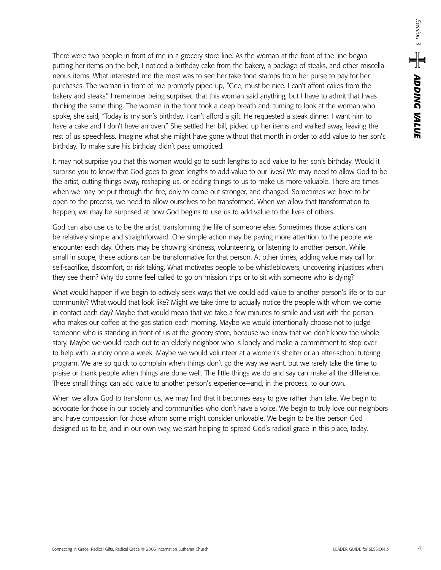There were two people in front of me in a grocery store line. As the woman at the front of the line began putting her items on the belt, I noticed a birthday cake from the bakery, a package of steaks, and other miscellaneous items. What interested me the most was to see her take food stamps from her purse to pay for her purchases. The woman in front of me promptly piped up, "Gee, must be nice. I can't afford cakes from the bakery and steaks." I remember being surprised that this woman said anything, but I have to admit that I was thinking the same thing. The woman in the front took a deep breath and, turning to look at the woman who spoke, she said, "Today is my son's birthday. I can't afford a gift. He requested a steak dinner. I want him to have a cake and I don't have an oven." She settled her bill, picked up her items and walked away, leaving the rest of us speechless. Imagine what she might have gone without that month in order to add value to her son's birthday. To make sure his birthday didn't pass unnoticed.

It may not surprise you that this woman would go to such lengths to add value to her son's birthday. Would it surprise you to know that God goes to great lengths to add value to our lives? We may need to allow God to be the artist, cutting things away, reshaping us, or adding things to us to make us more valuable. There are times when we may be put through the fire, only to come out stronger, and changed. Sometimes we have to be open to the process, we need to allow ourselves to be transformed. When we allow that transformation to happen, we may be surprised at how God begins to use us to add value to the lives of others.

God can also use us to be the artist, transforming the life of someone else. Sometimes those actions can be relatively simple and straightforward. One simple action may be paying more attention to the people we encounter each day. Others may be showing kindness, volunteering, or listening to another person. While small in scope, these actions can be transformative for that person. At other times, adding value may call for self-sacrifice, discomfort, or risk taking. What motivates people to be whistleblowers, uncovering injustices when they see them? Why do some feel called to go on mission trips or to sit with someone who is dying?

What would happen if we begin to actively seek ways that we could add value to another person's life or to our community? What would that look like? Might we take time to actually notice the people with whom we come in contact each day? Maybe that would mean that we take a few minutes to smile and visit with the person who makes our coffee at the gas station each morning. Maybe we would intentionally choose not to judge someone who is standing in front of us at the grocery store, because we know that we don't know the whole story. Maybe we would reach out to an elderly neighbor who is lonely and make a commitment to stop over to help with laundry once a week. Maybe we would volunteer at a women's shelter or an after-school tutoring program. We are so quick to complain when things don't go the way we want, but we rarely take the time to praise or thank people when things are done well. The little things we do and say can make all the difference. These small things can add value to another person's experience—and, in the process, to our own.

When we allow God to transform us, we may find that it becomes easy to give rather than take. We begin to advocate for those in our society and communities who don't have a voice. We begin to truly love our neighbors and have compassion for those whom some might consider unlovable. We begin to be the person God designed us to be, and in our own way, we start helping to spread God's radical grace in this place, today.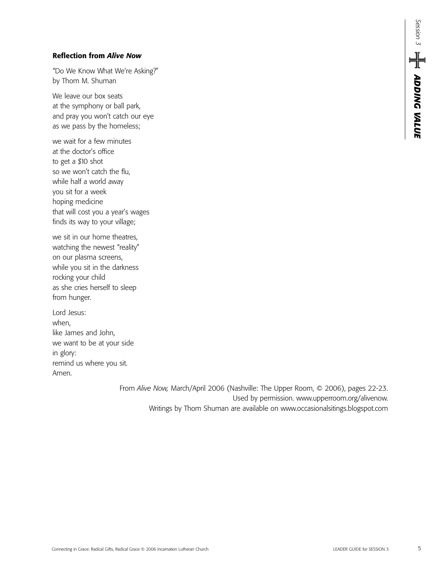#### **Reflection from** *Alive Now*

"Do We Know What We're Asking?" by Thom M. Shuman

We leave our box seats at the symphony or ball park, and pray you won't catch our eye as we pass by the homeless;

we wait for a few minutes at the doctor's office to get a \$10 shot so we won't catch the flu, while half a world away you sit for a week hoping medicine that will cost you a year's wages finds its way to your village;

we sit in our home theatres, watching the newest "reality" on our plasma screens, while you sit in the darkness rocking your child as she cries herself to sleep from hunger.

Lord Jesus: when, like James and John, we want to be at your side in glory: remind us where you sit. Amen.

> From *Alive Now,* March/April 2006 (Nashville: The Upper Room, © 2006), pages 22-23. Used by permission. www.upperroom.org/alivenow. Writings by Thom Shuman are available on www.occasionalsitings.blogspot.com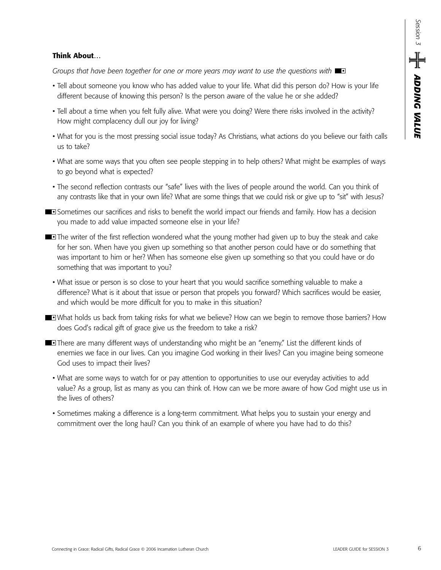#### **Think About…**

*Groups that have been together for one or more years may want to use the questions with* 

- Tell about someone you know who has added value to your life. What did this person do? How is your life different because of knowing this person? Is the person aware of the value he or she added?
- Tell about a time when you felt fully alive. What were you doing? Were there risks involved in the activity? How might complacency dull our joy for living?
- What for you is the most pressing social issue today? As Christians, what actions do you believe our faith calls us to take?
- What are some ways that you often see people stepping in to help others? What might be examples of ways to go beyond what is expected?
- The second reflection contrasts our "safe" lives with the lives of people around the world. Can you think of any contrasts like that in your own life? What are some things that we could risk or give up to "sit" with Jesus?
- **Sometimes our sacrifices and risks to benefit the world impact our friends and family. How has a decision** you made to add value impacted someone else in your life?
- **The writer of the first reflection wondered what the young mother had given up to buy the steak and cake** for her son. When have you given up something so that another person could have or do something that was important to him or her? When has someone else given up something so that you could have or do something that was important to you?
	- What issue or person is so close to your heart that you would sacrifice something valuable to make a difference? What is it about that issue or person that propels you forward? Which sacrifices would be easier, and which would be more difficult for you to make in this situation?
- What holds us back from taking risks for what we believe? How can we begin to remove those barriers? How does God's radical gift of grace give us the freedom to take a risk?
- **There are many different ways of understanding who might be an "enemy." List the different kinds of** enemies we face in our lives. Can you imagine God working in their lives? Can you imagine being someone God uses to impact their lives?
	- What are some ways to watch for or pay attention to opportunities to use our everyday activities to add value? As a group, list as many as you can think of. How can we be more aware of how God might use us in the lives of others?
	- Sometimes making a difference is a long-term commitment. What helps you to sustain your energy and commitment over the long haul? Can you think of an example of where you have had to do this?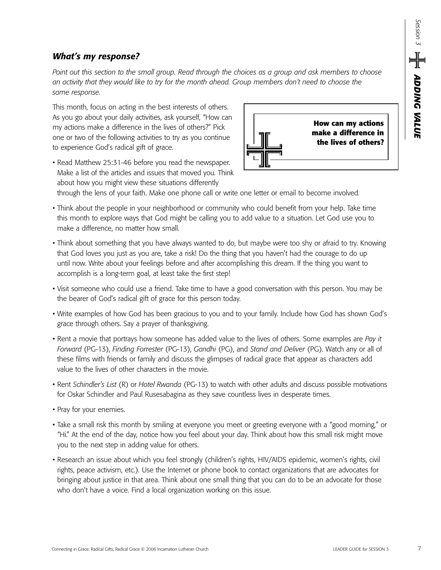## *What's my response?*

*Point out this section to the small group. Read through the choices as a group and ask members to choose an activity that they would like to try for the month ahead. Group members don't need to choose the same response.* 

This month, focus on acting in the best interests of others. As you go about your daily activities, ask yourself, "How can my actions make a difference in the lives of others?" Pick one or two of the following activities to try as you continue to experience God's radical gift of grace.

• Read Matthew 25:31-46 before you read the newspaper. Make a list of the articles and issues that moved you. Think about how you might view these situations differently



through the lens of your faith. Make one phone call or write one letter or email to become involved.

- Think about the people in your neighborhood or community who could benefit from your help. Take time this month to explore ways that God might be calling you to add value to a situation. Let God use you to make a difference, no matter how small.
- Think about something that you have always wanted to do, but maybe were too shy or afraid to try. Knowing that God loves you just as you are, take a risk! Do the thing that you haven't had the courage to do up until now. Write about your feelings before and after accomplishing this dream. If the thing you want to accomplish is a long-term goal, at least take the first step!
- Visit someone who could use a friend. Take time to have a good conversation with this person. You may be the bearer of God's radical gift of grace for this person today.
- Write examples of how God has been gracious to you and to your family. Include how God has shown God's grace through others. Say a prayer of thanksgiving.
- Rent a movie that portrays how someone has added value to the lives of others. Some examples are *Pay it Forward* (PG-13), *Finding Forrester* (PG-13), *Gandhi* (PG), and *Stand and Deliver* (PG). Watch any or all of these films with friends or family and discuss the glimpses of radical grace that appear as characters add value to the lives of other characters in the movie.
- Rent *Schindler's List* (R) or *Hotel Rwanda* (PG-13) to watch with other adults and discuss possible motivations for Oskar Schindler and Paul Rusesabagina as they save countless lives in desperate times.
- Pray for your enemies.
- Take a small risk this month by smiling at everyone you meet or greeting everyone with a "good morning," or "Hi." At the end of the day, notice how you feel about your day. Think about how this small risk might move you to the next step in adding value for others.
- Research an issue about which you feel strongly (children's rights, HIV/AIDS epidemic, women's rights, civil rights, peace activism, etc.). Use the Internet or phone book to contact organizations that are advocates for bringing about justice in that area. Think about one small thing that you can do to be an advocate for those who don't have a voice. Find a local organization working on this issue.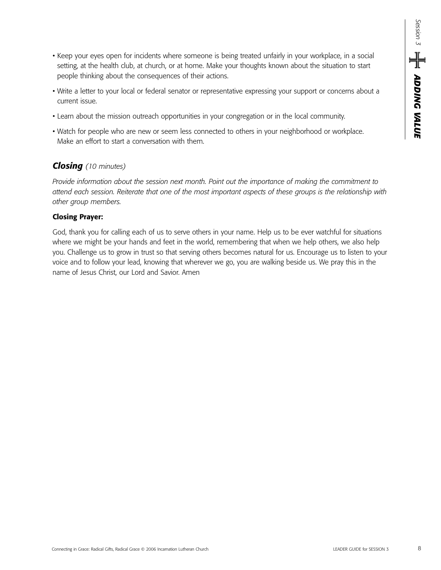- Keep your eyes open for incidents where someone is being treated unfairly in your workplace, in a social setting, at the health club, at church, or at home. Make your thoughts known about the situation to start people thinking about the consequences of their actions.
- Write a letter to your local or federal senator or representative expressing your support or concerns about a current issue.
- Learn about the mission outreach opportunities in your congregation or in the local community.
- Watch for people who are new or seem less connected to others in your neighborhood or workplace. Make an effort to start a conversation with them.

# *Closing (10 minutes)*

*Provide information about the session next month. Point out the importance of making the commitment to attend each session. Reiterate that one of the most important aspects of these groups is the relationship with other group members.* 

#### **Closing Prayer:**

God, thank you for calling each of us to serve others in your name. Help us to be ever watchful for situations where we might be your hands and feet in the world, remembering that when we help others, we also help you. Challenge us to grow in trust so that serving others becomes natural for us. Encourage us to listen to your voice and to follow your lead, knowing that wherever we go, you are walking beside us. We pray this in the name of Jesus Christ, our Lord and Savior. Amen